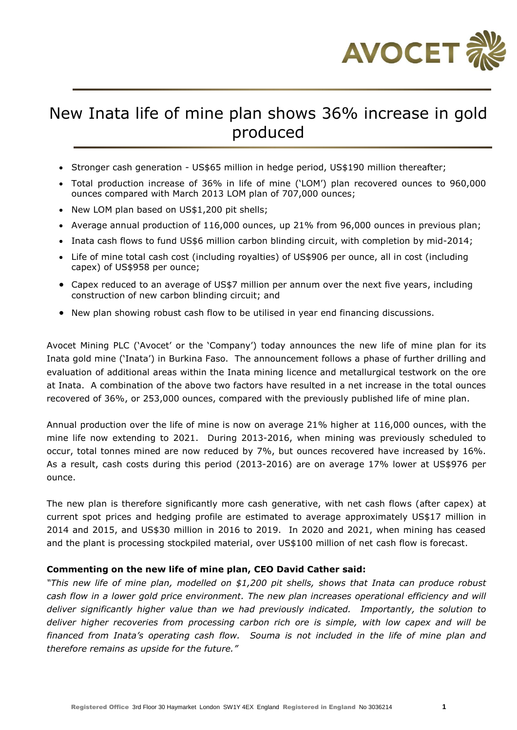

# New Inata life of mine plan shows 36% increase in gold produced

- Stronger cash generation US\$65 million in hedge period, US\$190 million thereafter;
- Total production increase of 36% in life of mine ('LOM') plan recovered ounces to 960,000 ounces compared with March 2013 LOM plan of 707,000 ounces;
- New LOM plan based on US\$1,200 pit shells;
- Average annual production of 116,000 ounces, up 21% from 96,000 ounces in previous plan;
- Inata cash flows to fund US\$6 million carbon blinding circuit, with completion by mid-2014;
- Life of mine total cash cost (including royalties) of US\$906 per ounce, all in cost (including capex) of US\$958 per ounce;
- Capex reduced to an average of US\$7 million per annum over the next five years, including construction of new carbon blinding circuit; and
- New plan showing robust cash flow to be utilised in year end financing discussions.

Avocet Mining PLC ('Avocet' or the 'Company') today announces the new life of mine plan for its Inata gold mine ('Inata') in Burkina Faso. The announcement follows a phase of further drilling and evaluation of additional areas within the Inata mining licence and metallurgical testwork on the ore at Inata. A combination of the above two factors have resulted in a net increase in the total ounces recovered of 36%, or 253,000 ounces, compared with the previously published life of mine plan.

Annual production over the life of mine is now on average 21% higher at 116,000 ounces, with the mine life now extending to 2021. During 2013-2016, when mining was previously scheduled to occur, total tonnes mined are now reduced by 7%, but ounces recovered have increased by 16%. As a result, cash costs during this period (2013-2016) are on average 17% lower at US\$976 per ounce.

The new plan is therefore significantly more cash generative, with net cash flows (after capex) at current spot prices and hedging profile are estimated to average approximately US\$17 million in 2014 and 2015, and US\$30 million in 2016 to 2019. In 2020 and 2021, when mining has ceased and the plant is processing stockpiled material, over US\$100 million of net cash flow is forecast.

## **Commenting on the new life of mine plan, CEO David Cather said:**

*"This new life of mine plan, modelled on \$1,200 pit shells, shows that Inata can produce robust cash flow in a lower gold price environment. The new plan increases operational efficiency and will deliver significantly higher value than we had previously indicated. Importantly, the solution to deliver higher recoveries from processing carbon rich ore is simple, with low capex and will be*  financed from Inata's operating cash flow. Souma is not included in the life of mine plan and *therefore remains as upside for the future."*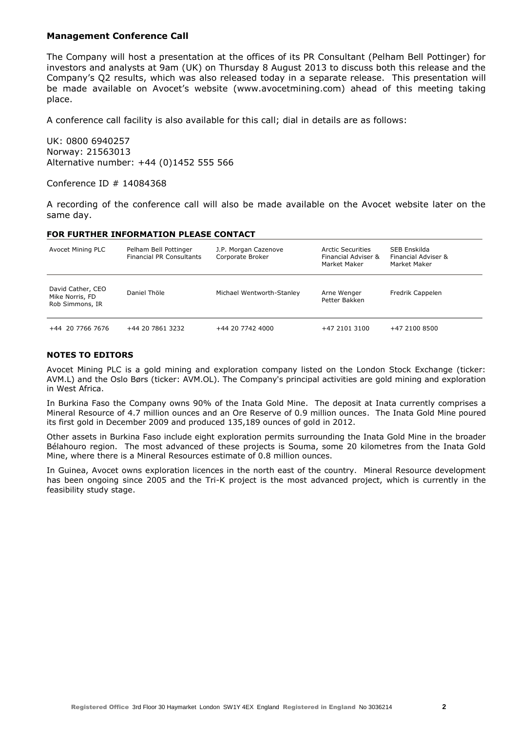#### **Management Conference Call**

The Company will host a presentation at the offices of its PR Consultant (Pelham Bell Pottinger) for investors and analysts at 9am (UK) on Thursday 8 August 2013 to discuss both this release and the Company's Q2 results, which was also released today in a separate release. This presentation will be made available on Avocet's website (www.avocetmining.com) ahead of this meeting taking place.

A conference call facility is also available for this call; dial in details are as follows:

UK: 0800 6940257 Norway: 21563013 Alternative number: +44 (0)1452 555 566

Conference ID # 14084368

A recording of the conference call will also be made available on the Avocet website later on the same day.

#### **FOR FURTHER INFORMATION PLEASE CONTACT**

| Avocet Mining PLC                                       | Pelham Bell Pottinger<br><b>Financial PR Consultants</b> | J.P. Morgan Cazenove<br>Corporate Broker | Arctic Securities<br>Financial Adviser &<br>Market Maker | SEB Enskilda<br>Financial Adviser &<br>Market Maker |
|---------------------------------------------------------|----------------------------------------------------------|------------------------------------------|----------------------------------------------------------|-----------------------------------------------------|
| David Cather, CEO<br>Mike Norris, FD<br>Rob Simmons, IR | Daniel Thöle                                             | Michael Wentworth-Stanley                | Arne Wenger<br>Petter Bakken                             | Fredrik Cappelen                                    |
| +44 20 7766 7676                                        | +44 20 7861 3232                                         | +44 20 7742 4000                         | +47 2101 3100                                            | +47 2100 8500                                       |

#### **NOTES TO EDITORS**

Avocet Mining PLC is a gold mining and exploration company listed on the London Stock Exchange (ticker: AVM.L) and the Oslo Børs (ticker: AVM.OL). The Company's principal activities are gold mining and exploration in West Africa.

In Burkina Faso the Company owns 90% of the Inata Gold Mine. The deposit at Inata currently comprises a Mineral Resource of 4.7 million ounces and an Ore Reserve of 0.9 million ounces. The Inata Gold Mine poured its first gold in December 2009 and produced 135,189 ounces of gold in 2012.

Other assets in Burkina Faso include eight exploration permits surrounding the Inata Gold Mine in the broader Bélahouro region. The most advanced of these projects is Souma, some 20 kilometres from the Inata Gold Mine, where there is a Mineral Resources estimate of 0.8 million ounces.

In Guinea, Avocet owns exploration licences in the north east of the country. Mineral Resource development has been ongoing since 2005 and the Tri-K project is the most advanced project, which is currently in the feasibility study stage.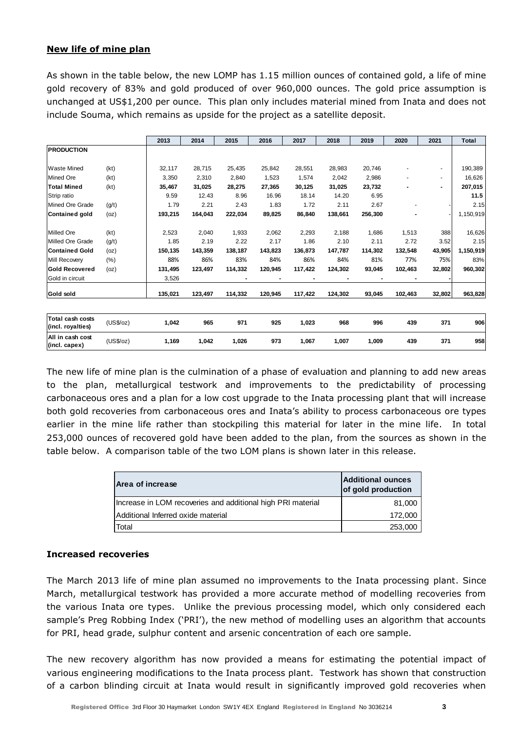# **New life of mine plan**

As shown in the table below, the new LOMP has 1.15 million ounces of contained gold, a life of mine gold recovery of 83% and gold produced of over 960,000 ounces. The gold price assumption is unchanged at US\$1,200 per ounce. This plan only includes material mined from Inata and does not include Souma, which remains as upside for the project as a satellite deposit.

|                                              |           | 2013    | 2014    | 2015    | 2016    | 2017    | 2018    | 2019    | 2020    | 2021           | <b>Total</b> |
|----------------------------------------------|-----------|---------|---------|---------|---------|---------|---------|---------|---------|----------------|--------------|
| <b>PRODUCTION</b>                            |           |         |         |         |         |         |         |         |         |                |              |
|                                              |           |         |         |         |         |         |         |         |         |                |              |
| <b>Waste Mined</b>                           | (kt)      | 32,117  | 28,715  | 25,435  | 25,842  | 28,551  | 28,983  | 20,746  |         | ÷.             | 190,389      |
| <b>Mined Ore</b>                             | (kt)      | 3,350   | 2,310   | 2,840   | 1,523   | 1,574   | 2,042   | 2,986   |         |                | 16,626       |
| <b>Total Mined</b>                           | (kt)      | 35,467  | 31,025  | 28,275  | 27,365  | 30,125  | 31,025  | 23,732  |         | $\blacksquare$ | 207,015      |
| Strip ratio                                  |           | 9.59    | 12.43   | 8.96    | 16.96   | 18.14   | 14.20   | 6.95    |         |                | 11.5         |
| Mined Ore Grade                              | (g/t)     | 1.79    | 2.21    | 2.43    | 1.83    | 1.72    | 2.11    | 2.67    |         |                | 2.15         |
| Contained gold                               | (oz)      | 193,215 | 164,043 | 222,034 | 89,825  | 86,840  | 138,661 | 256,300 |         |                | 1,150,919    |
| <b>Milled Ore</b>                            | (kt)      | 2,523   | 2,040   | 1,933   | 2,062   | 2,293   | 2,188   | 1,686   | 1,513   | 388            | 16,626       |
| Milled Ore Grade                             | (g/t)     | 1.85    | 2.19    | 2.22    | 2.17    | 1.86    | 2.10    | 2.11    | 2.72    | 3.52           | 2.15         |
| lContained Gold                              | (oz)      | 150,135 | 143,359 | 138,187 | 143,823 | 136,873 | 147,787 | 114,302 | 132,548 | 43,905         | 1,150,919    |
| Mill Recovery                                | $(\% )$   | 88%     | 86%     | 83%     | 84%     | 86%     | 84%     | 81%     | 77%     | 75%            | 83%          |
| <b>Gold Recovered</b>                        | (oz)      | 131,495 | 123,497 | 114,332 | 120,945 | 117,422 | 124,302 | 93,045  | 102,463 | 32,802         | 960,302      |
| Gold in circuit                              |           | 3,526   |         |         |         |         |         |         |         |                |              |
| Gold sold                                    |           | 135,021 | 123,497 | 114,332 | 120,945 | 117,422 | 124,302 | 93,045  | 102,463 | 32,802         | 963,828      |
|                                              |           |         |         |         |         |         |         |         |         |                |              |
| <b>Total cash costs</b><br>(incl. royalties) | (US\$/oz) | 1,042   | 965     | 971     | 925     | 1,023   | 968     | 996     | 439     | 371            | 906          |
| All in cash cost<br>(incl. capex)            | (US\$/oz) | 1,169   | 1,042   | 1,026   | 973     | 1,067   | 1,007   | 1,009   | 439     | 371            | 958          |

The new life of mine plan is the culmination of a phase of evaluation and planning to add new areas to the plan, metallurgical testwork and improvements to the predictability of processing carbonaceous ores and a plan for a low cost upgrade to the Inata processing plant that will increase both gold recoveries from carbonaceous ores and Inata's ability to process carbonaceous ore types earlier in the mine life rather than stockpiling this material for later in the mine life. In total 253,000 ounces of recovered gold have been added to the plan, from the sources as shown in the table below. A comparison table of the two LOM plans is shown later in this release.

| Area of increase                                            | <b>Additional ounces</b><br>of gold production |
|-------------------------------------------------------------|------------------------------------------------|
| Increase in LOM recoveries and additional high PRI material | 81,000                                         |
| Additional Inferred oxide material                          | 172,000                                        |
| <b>Total</b>                                                | 253,000                                        |

## **Increased recoveries**

The March 2013 life of mine plan assumed no improvements to the Inata processing plant. Since March, metallurgical testwork has provided a more accurate method of modelling recoveries from the various Inata ore types. Unlike the previous processing model, which only considered each sample's Preg Robbing Index ('PRI'), the new method of modelling uses an algorithm that accounts for PRI, head grade, sulphur content and arsenic concentration of each ore sample.

The new recovery algorithm has now provided a means for estimating the potential impact of various engineering modifications to the Inata process plant. Testwork has shown that construction of a carbon blinding circuit at Inata would result in significantly improved gold recoveries when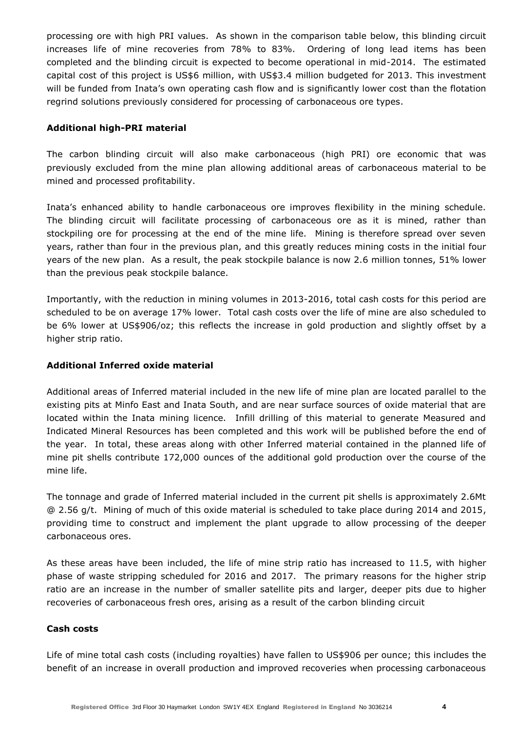processing ore with high PRI values. As shown in the comparison table below, this blinding circuit increases life of mine recoveries from 78% to 83%. Ordering of long lead items has been completed and the blinding circuit is expected to become operational in mid-2014. The estimated capital cost of this project is US\$6 million, with US\$3.4 million budgeted for 2013. This investment will be funded from Inata's own operating cash flow and is significantly lower cost than the flotation regrind solutions previously considered for processing of carbonaceous ore types.

## **Additional high-PRI material**

The carbon blinding circuit will also make carbonaceous (high PRI) ore economic that was previously excluded from the mine plan allowing additional areas of carbonaceous material to be mined and processed profitability.

Inata's enhanced ability to handle carbonaceous ore improves flexibility in the mining schedule. The blinding circuit will facilitate processing of carbonaceous ore as it is mined, rather than stockpiling ore for processing at the end of the mine life. Mining is therefore spread over seven years, rather than four in the previous plan, and this greatly reduces mining costs in the initial four years of the new plan. As a result, the peak stockpile balance is now 2.6 million tonnes, 51% lower than the previous peak stockpile balance.

Importantly, with the reduction in mining volumes in 2013-2016, total cash costs for this period are scheduled to be on average 17% lower. Total cash costs over the life of mine are also scheduled to be 6% lower at US\$906/oz; this reflects the increase in gold production and slightly offset by a higher strip ratio.

# **Additional Inferred oxide material**

Additional areas of Inferred material included in the new life of mine plan are located parallel to the existing pits at Minfo East and Inata South, and are near surface sources of oxide material that are located within the Inata mining licence. Infill drilling of this material to generate Measured and Indicated Mineral Resources has been completed and this work will be published before the end of the year. In total, these areas along with other Inferred material contained in the planned life of mine pit shells contribute 172,000 ounces of the additional gold production over the course of the mine life.

The tonnage and grade of Inferred material included in the current pit shells is approximately 2.6Mt @ 2.56 g/t. Mining of much of this oxide material is scheduled to take place during 2014 and 2015, providing time to construct and implement the plant upgrade to allow processing of the deeper carbonaceous ores.

As these areas have been included, the life of mine strip ratio has increased to 11.5, with higher phase of waste stripping scheduled for 2016 and 2017. The primary reasons for the higher strip ratio are an increase in the number of smaller satellite pits and larger, deeper pits due to higher recoveries of carbonaceous fresh ores, arising as a result of the carbon blinding circuit

## **Cash costs**

Life of mine total cash costs (including royalties) have fallen to US\$906 per ounce; this includes the benefit of an increase in overall production and improved recoveries when processing carbonaceous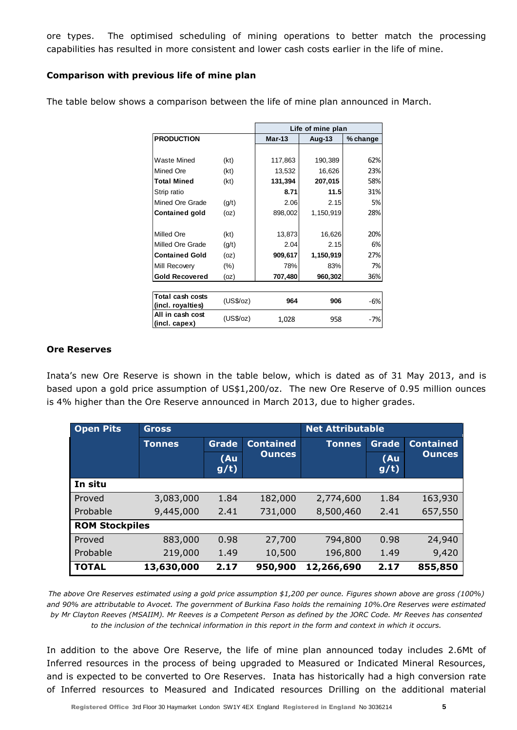ore types. The optimised scheduling of mining operations to better match the processing capabilities has resulted in more consistent and lower cash costs earlier in the life of mine.

# **Comparison with previous life of mine plan**

|                                       |           | Life of mine plan |           |          |  |  |
|---------------------------------------|-----------|-------------------|-----------|----------|--|--|
| <b>PRODUCTION</b>                     |           | $Mar-13$          | Aug-13    | % change |  |  |
|                                       |           |                   |           |          |  |  |
| Waste Mined                           | (kt)      | 117,863           | 190,389   | 62%      |  |  |
| Mined Ore                             | (kt)      | 13,532            | 16,626    | 23%      |  |  |
| <b>Total Mined</b>                    | (kt)      | 131,394           | 207,015   | 58%      |  |  |
| Strip ratio                           |           | 8.71              | 11.5      | 31%      |  |  |
| Mined Ore Grade                       | (g/t)     | 2.06              | 2.15      | 5%       |  |  |
| <b>Contained gold</b>                 | (oz)      | 898,002           | 1,150,919 | 28%      |  |  |
|                                       |           |                   |           |          |  |  |
| Milled Ore                            | (kt)      | 13,873            | 16,626    | 20%      |  |  |
| Milled Ore Grade                      | (g/t)     | 2.04              | 2.15      | 6%       |  |  |
| <b>Contained Gold</b>                 | (oz)      | 909,617           | 1,150,919 | 27%      |  |  |
| Mill Recovery                         | $(\% )$   | 78%               | 83%       | 7%       |  |  |
| <b>Gold Recovered</b>                 | (oz)      | 707,480           | 960,302   | 36%      |  |  |
|                                       |           |                   |           |          |  |  |
| Total cash costs<br>(incl. royalties) | (US\$/oz) | 964               | 906       | -6%      |  |  |
| All in cash cost<br>(incl. capex)     | (US\$/oz) | 1,028             | 958       | $-7%$    |  |  |

The table below shows a comparison between the life of mine plan announced in March.

## **Ore Reserves**

Inata's new Ore Reserve is shown in the table below, which is dated as of 31 May 2013, and is based upon a gold price assumption of US\$1,200/oz. The new Ore Reserve of 0.95 million ounces is 4% higher than the Ore Reserve announced in March 2013, due to higher grades.

| <b>Open Pits</b>      | <b>Gross</b>  |              |                                   | <b>Net Attributable</b> |              |                  |
|-----------------------|---------------|--------------|-----------------------------------|-------------------------|--------------|------------------|
|                       | <b>Tonnes</b> | Grade        | <b>Contained</b><br><b>Ounces</b> | <b>Tonnes</b>           | <b>Grade</b> | <b>Contained</b> |
|                       |               | (Au)<br>g/t) |                                   |                         | (Au)<br>g(t) | <b>Ounces</b>    |
| In situ               |               |              |                                   |                         |              |                  |
| Proved                | 3,083,000     | 1.84         | 182,000                           | 2,774,600               | 1.84         | 163,930          |
| Probable              | 9,445,000     | 2.41         | 731,000                           | 8,500,460               | 2.41         | 657,550          |
| <b>ROM Stockpiles</b> |               |              |                                   |                         |              |                  |
| Proved                | 883,000       | 0.98         | 27,700                            | 794,800                 | 0.98         | 24,940           |
| Probable              | 219,000       | 1.49         | 10,500                            | 196,800                 | 1.49         | 9,420            |
| <b>TOTAL</b>          | 13,630,000    | 2.17         | 950,900                           | 12,266,690              | 2.17         | 855,850          |

*The above Ore Reserves estimated using a gold price assumption \$1,200 per ounce. Figures shown above are gross (100%) and 90% are attributable to Avocet. The government of Burkina Faso holds the remaining 10%.Ore Reserves were estimated by Mr Clayton Reeves (MSAIIM). Mr Reeves is a Competent Person as defined by the JORC Code. Mr Reeves has consented to the inclusion of the technical information in this report in the form and context in which it occurs.*

In addition to the above Ore Reserve, the life of mine plan announced today includes 2.6Mt of Inferred resources in the process of being upgraded to Measured or Indicated Mineral Resources, and is expected to be converted to Ore Reserves. Inata has historically had a high conversion rate of Inferred resources to Measured and Indicated resources Drilling on the additional material